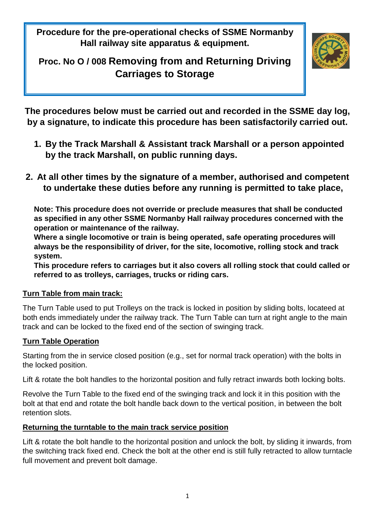**Procedure for the pre-operational checks of SSME Normanby Hall railway site apparatus & equipment.**

# **Proc. No O / 008 Removing from and Returning Driving Carriages to Storage**



**The procedures below must be carried out and recorded in the SSME day log, by a signature, to indicate this procedure has been satisfactorily carried out.**

- **1. By the Track Marshall & Assistant track Marshall or a person appointed by the track Marshall, on public running days.**
- **2. At all other times by the signature of a member, authorised and competent to undertake these duties before any running is permitted to take place,**

**Note: This procedure does not override or preclude measures that shall be conducted as specified in any other SSME Normanby Hall railway procedures concerned with the operation or maintenance of the railway.**

**Where a single locomotive or train is being operated, safe operating procedures will always be the responsibility of driver, for the site, locomotive, rolling stock and track system.**

**This procedure refers to carriages but it also covers all rolling stock that could called or referred to as trolleys, carriages, trucks or riding cars.**

### **Turn Table from main track:**

The Turn Table used to put Trolleys on the track is locked in position by sliding bolts, locateed at both ends immediately under the railway track. The Turn Table can turn at right angle to the main track and can be locked to the fixed end of the section of swinging track.

## **Turn Table Operation**

Starting from the in service closed position (e.g., set for normal track operation) with the bolts in the locked position.

Lift & rotate the bolt handles to the horizontal position and fully retract inwards both locking bolts.

Revolve the Turn Table to the fixed end of the swinging track and lock it in this position with the bolt at that end and rotate the bolt handle back down to the vertical position, in between the bolt retention slots.

### **Returning the turntable to the main track service position**

Lift & rotate the bolt handle to the horizontal position and unlock the bolt, by sliding it inwards, from the switching track fixed end. Check the bolt at the other end is still fully retracted to allow turntacle full movement and prevent bolt damage.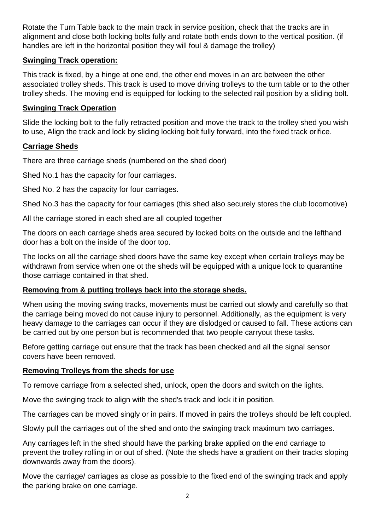Rotate the Turn Table back to the main track in service position, check that the tracks are in alignment and close both locking bolts fully and rotate both ends down to the vertical position. (if handles are left in the horizontal position they will foul & damage the trolley)

#### **Swinging Track operation:**

This track is fixed, by a hinge at one end, the other end moves in an arc between the other associated trolley sheds. This track is used to move driving trolleys to the turn table or to the other trolley sheds. The moving end is equipped for locking to the selected rail position by a sliding bolt.

#### **Swinging Track Operation**

Slide the locking bolt to the fully retracted position and move the track to the trolley shed you wish to use, Align the track and lock by sliding locking bolt fully forward, into the fixed track orifice.

#### **Carriage Sheds**

There are three carriage sheds (numbered on the shed door)

Shed No.1 has the capacity for four carriages.

Shed No. 2 has the capacity for four carriages.

Shed No.3 has the capacity for four carriages (this shed also securely stores the club locomotive)

All the carriage stored in each shed are all coupled together

The doors on each carriage sheds area secured by locked bolts on the outside and the lefthand door has a bolt on the inside of the door top.

The locks on all the carriage shed doors have the same key except when certain trolleys may be withdrawn from service when one ot the sheds will be equipped with a unique lock to quarantine those carriage contained in that shed.

### **Removing from & putting trolleys back into the storage sheds.**

When using the moving swing tracks, movements must be carried out slowly and carefully so that the carriage being moved do not cause injury to personnel. Additionally, as the equipment is very heavy damage to the carriages can occur if they are dislodged or caused to fall. These actions can be carried out by one person but is recommended that two people carryout these tasks.

Before getting carriage out ensure that the track has been checked and all the signal sensor covers have been removed.

#### **Removing Trolleys from the sheds for use**

To remove carriage from a selected shed, unlock, open the doors and switch on the lights.

Move the swinging track to align with the shed's track and lock it in position.

The carriages can be moved singly or in pairs. If moved in pairs the trolleys should be left coupled.

Slowly pull the carriages out of the shed and onto the swinging track maximum two carriages.

Any carriages left in the shed should have the parking brake applied on the end carriage to prevent the trolley rolling in or out of shed. (Note the sheds have a gradient on their tracks sloping downwards away from the doors).

Move the carriage/ carriages as close as possible to the fixed end of the swinging track and apply the parking brake on one carriage.